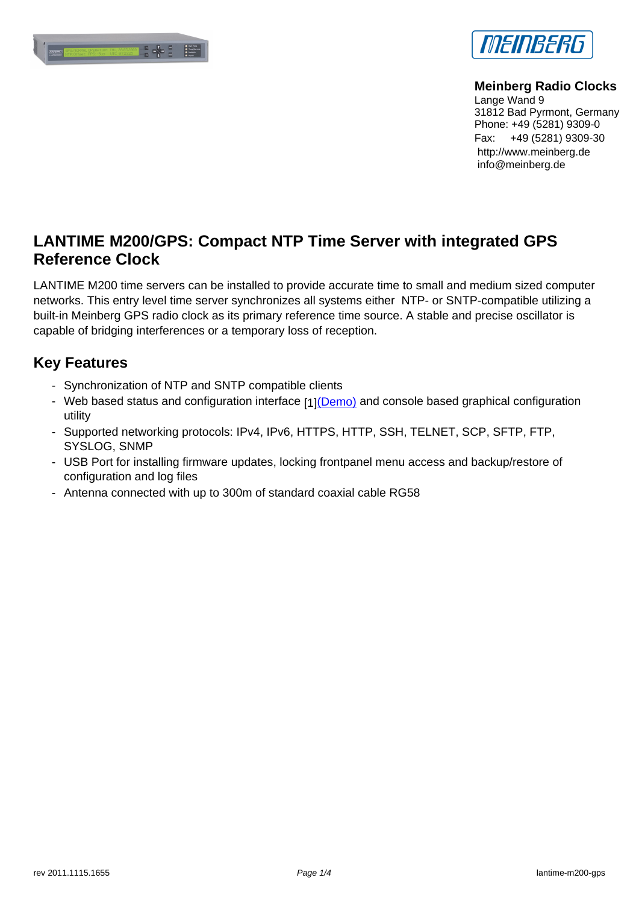



**[Meinberg Radio Clo](http://www.meinberg.de)cks** Lange Wand 9 31812 Bad Pyrmont, Germany Phone: +49 (5281) 9309-0 [Fax: +49 \(5281\) 9309-30](http://www.meinberg.de) http://www.meinberg.de info@meinberg.de

## **LANTIME M200/GPS: Compact NTP Time Server with integrated GPS Reference Clock**

LANTIME M200 time servers can be installed to provide accurate time to small and medium sized computer networks. This entry level time server synchronizes all systems either NTP- or SNTP-compatible utilizing a built-in Meinberg GPS radio clock as its primary reference time source. A stable and precise oscillator is capable of bridging interferences or a temporary loss of reception.

#### **Key Features**

- Synchronization of NTP and SNTP compatible clients
- Web based status and configuration interface [1](Demo) and console based graphical configuration [utility](#page--1-0)
- Supported networking protocols: IPv4, IPv6, HTTPS, HTTP, SSH, TELNET, SCP, SFTP, FTP, SYSLOG, SNMP
- USB Port for installing firmware updates, locking [frontpa](http://www.meinberg.de/cgi-bin/main.cgi)nel menu access and backup/restore of configuration and log files
- Antenna connected with up to 300m of standard coaxial cable RG58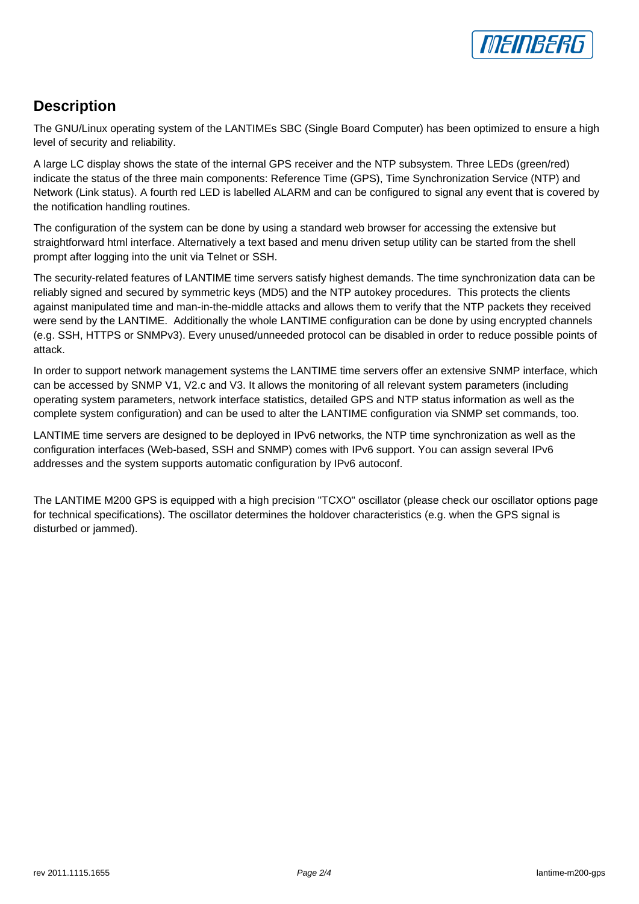## **Description**

The GNU/Linux operating system of the LANTIMEs SBC (Single Board Computer) has been optimized to ensure a high level of security and reliability.

[A large LC display](#page--1-0) shows the state of the internal GPS receiver and the NTP subsystem. Three LEDs (green/red) indicate the status of the three main components: Reference Time (GPS), Time Synchronization Service (NTP) and Network (Link status). A fourth red LED is labelled ALARM and can be configured to signal any event that is covered by the notification handling routines.

The configuration of the system can be done by using a standard web browser for accessing the extensive but straightforward html interface. Alternatively a text based and menu driven setup utility can be started from the shell prompt after logging into the unit via Telnet or SSH.

The security-related features of LANTIME time servers satisfy highest demands. The time synchronization data can be reliably signed and secured by symmetric keys (MD5) and the NTP autokey procedures. This protects the clients against manipulated time and man-in-the-middle attacks and allows them to verify that the NTP packets they received were send by the LANTIME. Additionally the whole LANTIME configuration can be done by using encrypted channels (e.g. SSH, HTTPS or SNMPv3). Every unused/unneeded protocol can be disabled in order to reduce possible points of attack.

In order to support network management systems the LANTIME time servers offer an extensive SNMP interface, which can be accessed by SNMP V1, V2.c and V3. It allows the monitoring of all relevant system parameters (including operating system parameters, network interface statistics, detailed GPS and NTP status information as well as the complete system configuration) and can be used to alter the LANTIME configuration via SNMP set commands, too.

LANTIME time servers are designed to be deployed in IPv6 networks, the NTP time synchronization as well as the configuration interfaces (Web-based, SSH and SNMP) comes with IPv6 support. You can assign several IPv6 addresses and the system supports automatic configuration by IPv6 autoconf.

The LANTIME M200 GPS is equipped with a high precision "TCXO" oscillator (please check our oscillator options page for technical specifications). The oscillator determines the holdover characteristics (e.g. when the GPS signal is disturbed or jammed).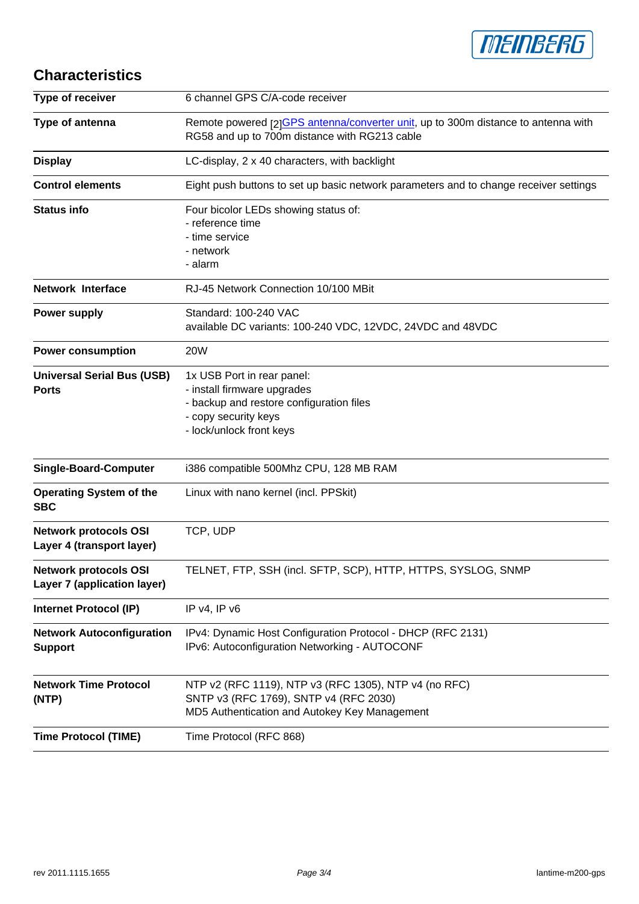

# **Characteristics**

| Type of receiver                                          | 6 channel GPS C/A-code receiver                                                                                                                           |
|-----------------------------------------------------------|-----------------------------------------------------------------------------------------------------------------------------------------------------------|
| Type of antenna                                           | Remote powered [2]GPS antenna/converter unit, up to 300m distance to antenna with<br>RG58 and up to 700m distance with RG213 cable                        |
| <b>Display</b>                                            | LC-display, 2 x 40 characters, with backlight                                                                                                             |
| <b>Control elements</b>                                   | Eight push buttons to set up basic network parameters and to change receiver settings                                                                     |
| <b>Status info</b>                                        | Four bicolor LEDs showing status of:<br>- reference time<br>- time service<br>- network<br>- alarm                                                        |
| <b>Network Interface</b>                                  | RJ-45 Network Connection 10/100 MBit                                                                                                                      |
| <b>Power supply</b>                                       | Standard: 100-240 VAC<br>available DC variants: 100-240 VDC, 12VDC, 24VDC and 48VDC                                                                       |
| <b>Power consumption</b>                                  | <b>20W</b>                                                                                                                                                |
| <b>Universal Serial Bus (USB)</b><br><b>Ports</b>         | 1x USB Port in rear panel:<br>- install firmware upgrades<br>- backup and restore configuration files<br>- copy security keys<br>- lock/unlock front keys |
| <b>Single-Board-Computer</b>                              | i386 compatible 500Mhz CPU, 128 MB RAM                                                                                                                    |
| <b>Operating System of the</b><br><b>SBC</b>              | Linux with nano kernel (incl. PPSkit)                                                                                                                     |
| <b>Network protocols OSI</b><br>Layer 4 (transport layer) | TCP, UDP                                                                                                                                                  |
| Network protocols OSI<br>Layer 7 (application layer)      | TELNET, FTP, SSH (incl. SFTP, SCP), HTTP, HTTPS, SYSLOG, SNMP                                                                                             |
| <b>Internet Protocol (IP)</b>                             | IP v4, IP v6                                                                                                                                              |
| <b>Network Autoconfiguration</b><br><b>Support</b>        | IPv4: Dynamic Host Configuration Protocol - DHCP (RFC 2131)<br>IPv6: Autoconfiguration Networking - AUTOCONF                                              |
| <b>Network Time Protocol</b><br>(NTP)                     | NTP v2 (RFC 1119), NTP v3 (RFC 1305), NTP v4 (no RFC)<br>SNTP v3 (RFC 1769), SNTP v4 (RFC 2030)<br>MD5 Authentication and Autokey Key Management          |
| <b>Time Protocol (TIME)</b>                               | Time Protocol (RFC 868)                                                                                                                                   |